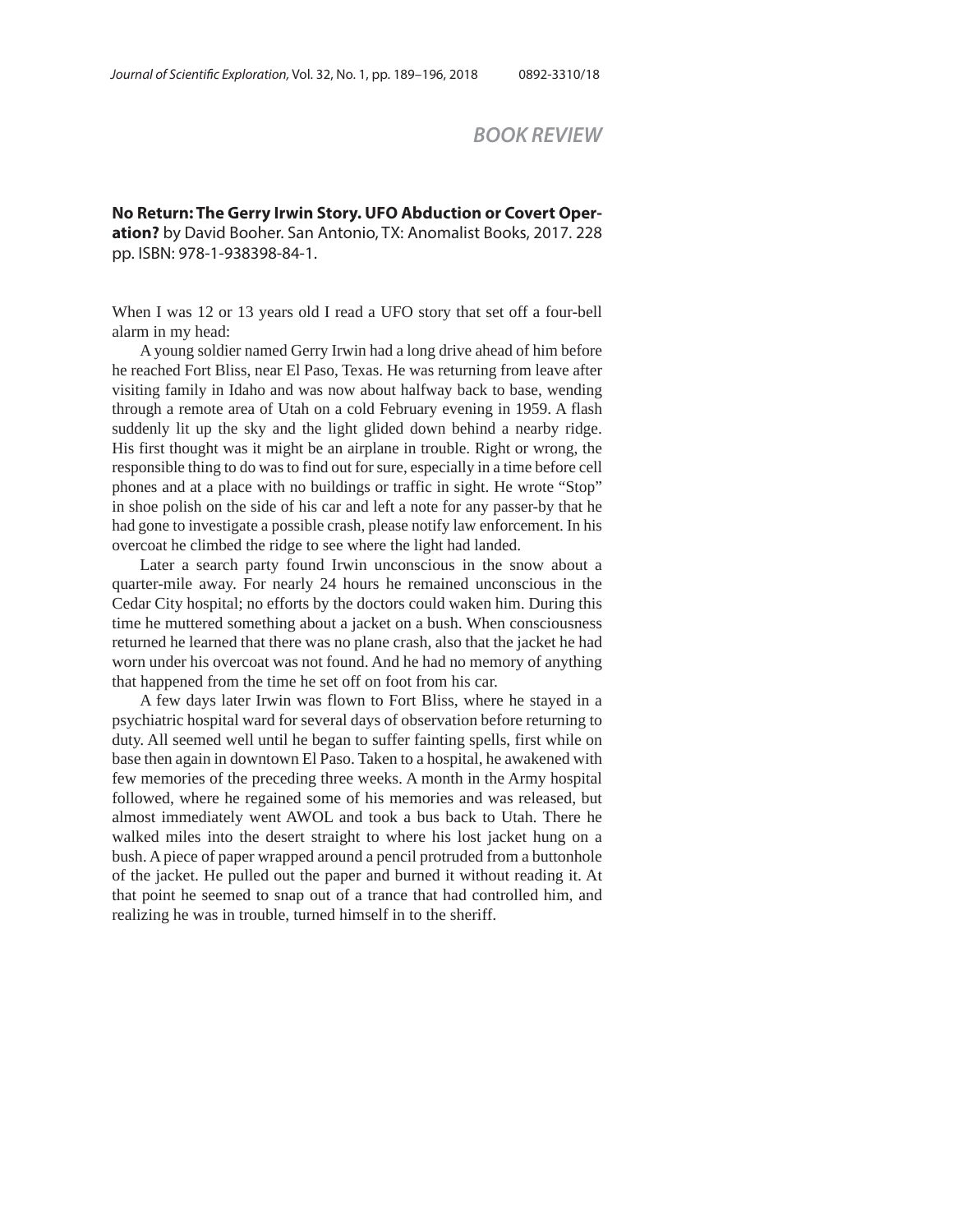## *BOOK REVIEW*

**No Return: The Gerry Irwin Story. UFO Abduction or Covert Operation?** by David Booher. San Antonio, TX: Anomalist Books, 2017. 228 pp. ISBN: 978-1-938398-84-1.

When I was 12 or 13 years old I read a UFO story that set off a four-bell alarm in my head:

A young soldier named Gerry Irwin had a long drive ahead of him before he reached Fort Bliss, near El Paso, Texas. He was returning from leave after visiting family in Idaho and was now about halfway back to base, wending through a remote area of Utah on a cold February evening in 1959. A flash suddenly lit up the sky and the light glided down behind a nearby ridge. His first thought was it might be an airplane in trouble. Right or wrong, the responsible thing to do was to find out for sure, especially in a time before cell phones and at a place with no buildings or traffic in sight. He wrote "Stop" in shoe polish on the side of his car and left a note for any passer-by that he had gone to investigate a possible crash, please notify law enforcement. In his overcoat he climbed the ridge to see where the light had landed.

 Later a search party found Irwin unconscious in the snow about a quarter-mile away. For nearly 24 hours he remained unconscious in the Cedar City hospital; no efforts by the doctors could waken him. During this time he muttered something about a jacket on a bush. When consciousness returned he learned that there was no plane crash, also that the jacket he had worn under his overcoat was not found. And he had no memory of anything that happened from the time he set off on foot from his car.

A few days later Irwin was flown to Fort Bliss, where he stayed in a psychiatric hospital ward for several days of observation before returning to duty. All seemed well until he began to suffer fainting spells, first while on base then again in downtown El Paso. Taken to a hospital, he awakened with few memories of the preceding three weeks. A month in the Army hospital followed, where he regained some of his memories and was released, but almost immediately went AWOL and took a bus back to Utah. There he walked miles into the desert straight to where his lost jacket hung on a bush. A piece of paper wrapped around a pencil protruded from a buttonhole of the jacket. He pulled out the paper and burned it without reading it. At that point he seemed to snap out of a trance that had controlled him, and realizing he was in trouble, turned himself in to the sheriff.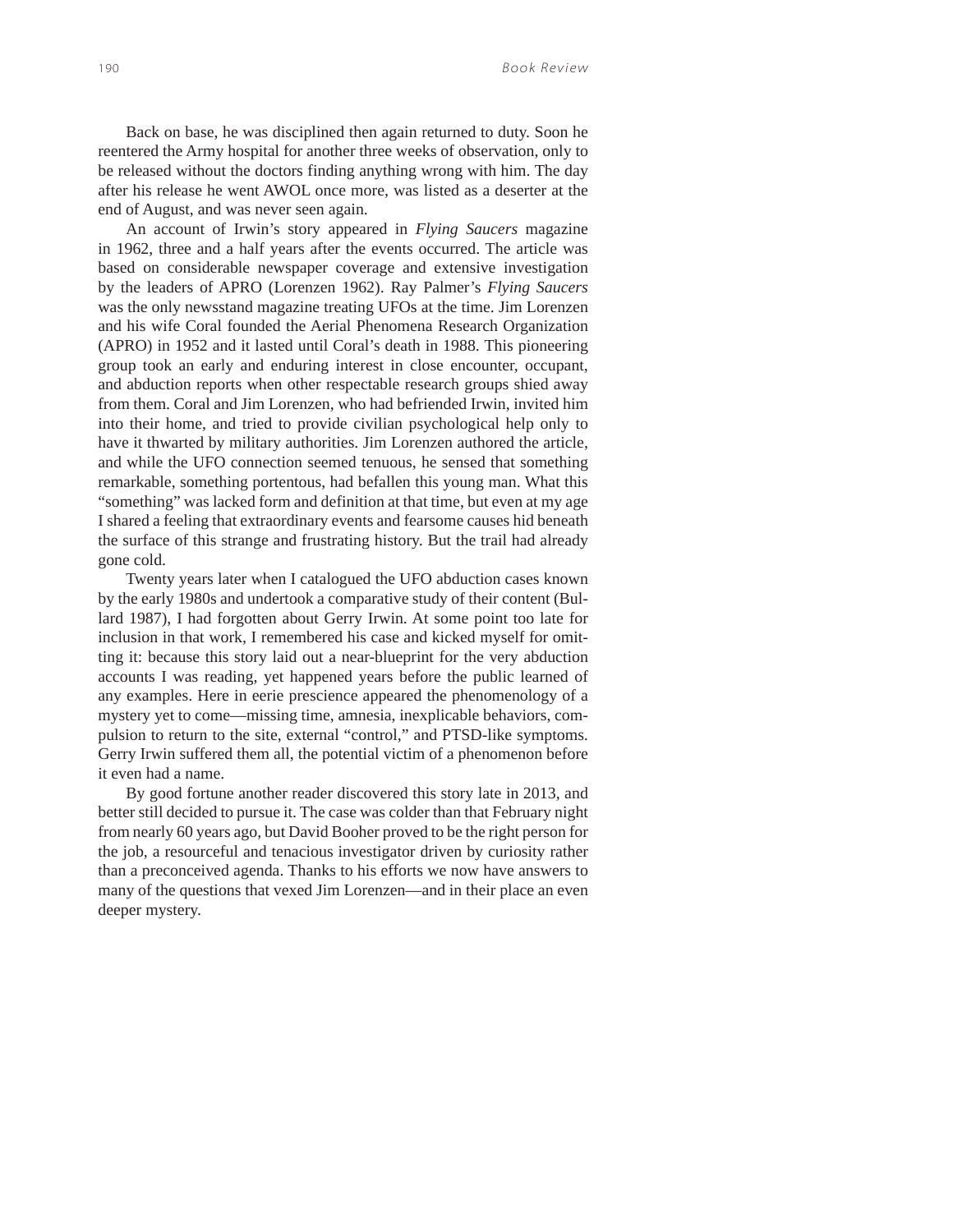Back on base, he was disciplined then again returned to duty. Soon he reentered the Army hospital for another three weeks of observation, only to be released without the doctors finding anything wrong with him. The day after his release he went AWOL once more, was listed as a deserter at the end of August, and was never seen again.

An account of Irwin's story appeared in *Flying Saucers* magazine in 1962, three and a half years after the events occurred. The article was based on considerable newspaper coverage and extensive investigation by the leaders of APRO (Lorenzen 1962). Ray Palmer's *Flying Saucers* was the only newsstand magazine treating UFOs at the time. Jim Lorenzen and his wife Coral founded the Aerial Phenomena Research Organization (APRO) in 1952 and it lasted until Coral's death in 1988. This pioneering group took an early and enduring interest in close encounter, occupant, and abduction reports when other respectable research groups shied away from them. Coral and Jim Lorenzen, who had befriended Irwin, invited him into their home, and tried to provide civilian psychological help only to have it thwarted by military authorities. Jim Lorenzen authored the article, and while the UFO connection seemed tenuous, he sensed that something remarkable, something portentous, had befallen this young man. What this "something" was lacked form and definition at that time, but even at my age I shared a feeling that extraordinary events and fearsome causes hid beneath the surface of this strange and frustrating history. But the trail had already gone cold.

Twenty years later when I catalogued the UFO abduction cases known by the early 1980s and undertook a comparative study of their content (Bullard 1987), I had forgotten about Gerry Irwin. At some point too late for inclusion in that work, I remembered his case and kicked myself for omitting it: because this story laid out a near-blueprint for the very abduction accounts I was reading, yet happened years before the public learned of any examples. Here in eerie prescience appeared the phenomenology of a mystery yet to come—missing time, amnesia, inexplicable behaviors, compulsion to return to the site, external "control," and PTSD-like symptoms. Gerry Irwin suffered them all, the potential victim of a phenomenon before it even had a name.

By good fortune another reader discovered this story late in 2013, and better still decided to pursue it. The case was colder than that February night from nearly 60 years ago, but David Booher proved to be the right person for the job, a resourceful and tenacious investigator driven by curiosity rather than a preconceived agenda. Thanks to his efforts we now have answers to many of the questions that vexed Jim Lorenzen—and in their place an even deeper mystery.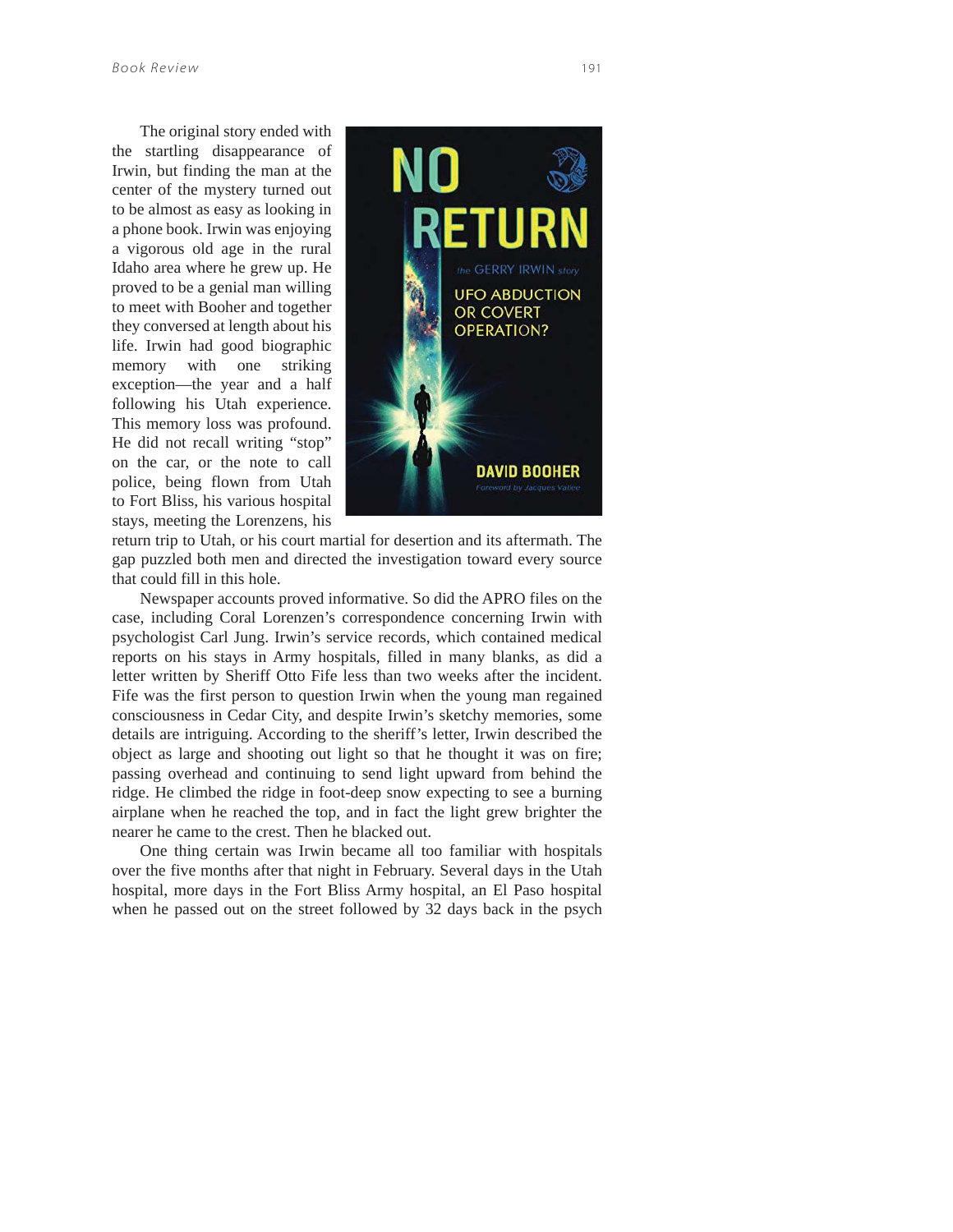The original story ended with the startling disappearance of Irwin, but finding the man at the center of the mystery turned out to be almost as easy as looking in a phone book. Irwin was enjoying a vigorous old age in the rural Idaho area where he grew up. He proved to be a genial man willing to meet with Booher and together they conversed at length about his life. Irwin had good biographic memory with one striking exception—the year and a half following his Utah experience. This memory loss was profound. He did not recall writing "stop" on the car, or the note to call police, being flown from Utah to Fort Bliss, his various hospital stays, meeting the Lorenzens, his



return trip to Utah, or his court martial for desertion and its aftermath. The gap puzzled both men and directed the investigation toward every source that could fill in this hole.

Newspaper accounts proved informative. So did the APRO files on the case, including Coral Lorenzen's correspondence concerning Irwin with psychologist Carl Jung. Irwin's service records, which contained medical reports on his stays in Army hospitals, filled in many blanks, as did a letter written by Sheriff Otto Fife less than two weeks after the incident. Fife was the first person to question Irwin when the young man regained consciousness in Cedar City, and despite Irwin's sketchy memories, some details are intriguing. According to the sheriff's letter, Irwin described the object as large and shooting out light so that he thought it was on fire; passing overhead and continuing to send light upward from behind the ridge. He climbed the ridge in foot-deep snow expecting to see a burning airplane when he reached the top, and in fact the light grew brighter the nearer he came to the crest. Then he blacked out.

One thing certain was Irwin became all too familiar with hospitals over the five months after that night in February. Several days in the Utah hospital, more days in the Fort Bliss Army hospital, an El Paso hospital when he passed out on the street followed by 32 days back in the psych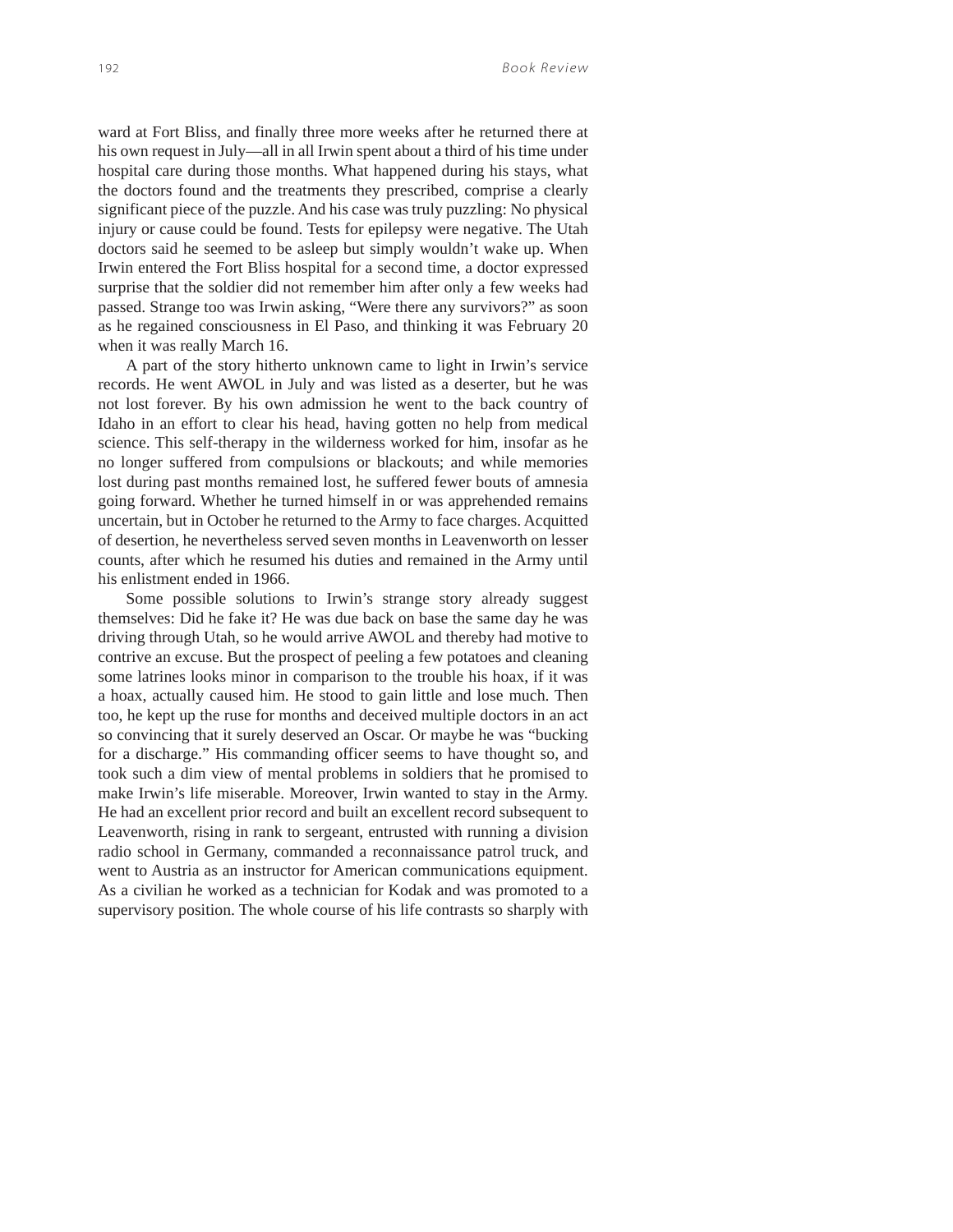ward at Fort Bliss, and finally three more weeks after he returned there at his own request in July—all in all Irwin spent about a third of his time under hospital care during those months. What happened during his stays, what the doctors found and the treatments they prescribed, comprise a clearly significant piece of the puzzle. And his case was truly puzzling: No physical injury or cause could be found. Tests for epilepsy were negative. The Utah doctors said he seemed to be asleep but simply wouldn't wake up. When Irwin entered the Fort Bliss hospital for a second time, a doctor expressed surprise that the soldier did not remember him after only a few weeks had passed. Strange too was Irwin asking, "Were there any survivors?" as soon as he regained consciousness in El Paso, and thinking it was February 20 when it was really March 16.

A part of the story hitherto unknown came to light in Irwin's service records. He went AWOL in July and was listed as a deserter, but he was not lost forever. By his own admission he went to the back country of Idaho in an effort to clear his head, having gotten no help from medical science. This self-therapy in the wilderness worked for him, insofar as he no longer suffered from compulsions or blackouts; and while memories lost during past months remained lost, he suffered fewer bouts of amnesia going forward. Whether he turned himself in or was apprehended remains uncertain, but in October he returned to the Army to face charges. Acquitted of desertion, he nevertheless served seven months in Leavenworth on lesser counts, after which he resumed his duties and remained in the Army until his enlistment ended in 1966.

Some possible solutions to Irwin's strange story already suggest themselves: Did he fake it? He was due back on base the same day he was driving through Utah, so he would arrive AWOL and thereby had motive to contrive an excuse. But the prospect of peeling a few potatoes and cleaning some latrines looks minor in comparison to the trouble his hoax, if it was a hoax, actually caused him. He stood to gain little and lose much. Then too, he kept up the ruse for months and deceived multiple doctors in an act so convincing that it surely deserved an Oscar. Or maybe he was "bucking for a discharge." His commanding officer seems to have thought so, and took such a dim view of mental problems in soldiers that he promised to make Irwin's life miserable. Moreover, Irwin wanted to stay in the Army. He had an excellent prior record and built an excellent record subsequent to Leavenworth, rising in rank to sergeant, entrusted with running a division radio school in Germany, commanded a reconnaissance patrol truck, and went to Austria as an instructor for American communications equipment. As a civilian he worked as a technician for Kodak and was promoted to a supervisory position. The whole course of his life contrasts so sharply with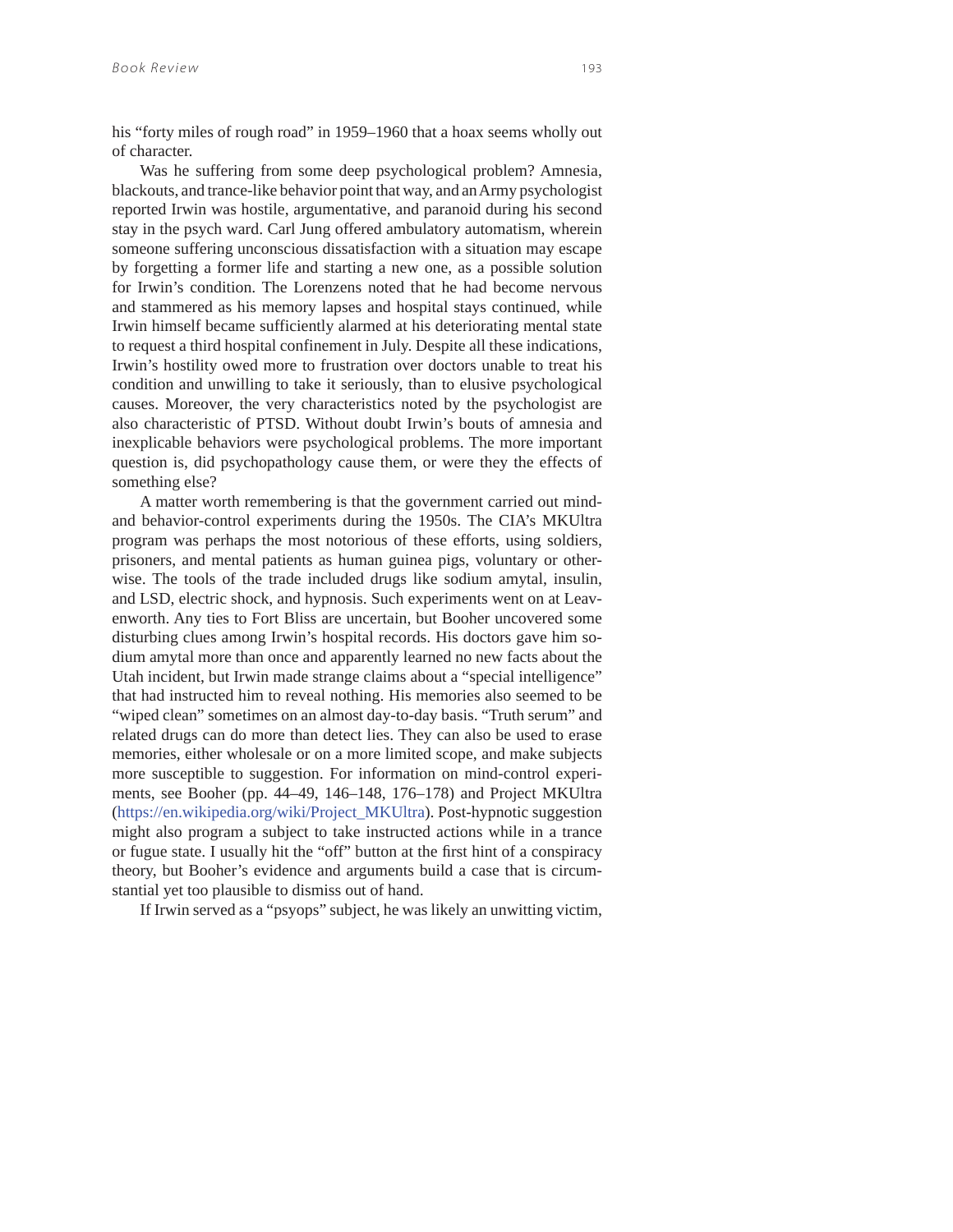his "forty miles of rough road" in 1959–1960 that a hoax seems wholly out of character.

Was he suffering from some deep psychological problem? Amnesia, blackouts, and trance-like behavior point that way, and an Army psychologist reported Irwin was hostile, argumentative, and paranoid during his second stay in the psych ward. Carl Jung offered ambulatory automatism, wherein someone suffering unconscious dissatisfaction with a situation may escape by forgetting a former life and starting a new one, as a possible solution for Irwin's condition. The Lorenzens noted that he had become nervous and stammered as his memory lapses and hospital stays continued, while Irwin himself became sufficiently alarmed at his deteriorating mental state to request a third hospital confinement in July. Despite all these indications, Irwin's hostility owed more to frustration over doctors unable to treat his condition and unwilling to take it seriously, than to elusive psychological causes. Moreover, the very characteristics noted by the psychologist are also characteristic of PTSD. Without doubt Irwin's bouts of amnesia and inexplicable behaviors were psychological problems. The more important question is, did psychopathology cause them, or were they the effects of something else?

A matter worth remembering is that the government carried out mindand behavior-control experiments during the 1950s. The CIA's MKUltra program was perhaps the most notorious of these efforts, using soldiers, prisoners, and mental patients as human guinea pigs, voluntary or otherwise. The tools of the trade included drugs like sodium amytal, insulin, and LSD, electric shock, and hypnosis. Such experiments went on at Leavenworth. Any ties to Fort Bliss are uncertain, but Booher uncovered some disturbing clues among Irwin's hospital records. His doctors gave him sodium amytal more than once and apparently learned no new facts about the Utah incident, but Irwin made strange claims about a "special intelligence" that had instructed him to reveal nothing. His memories also seemed to be "wiped clean" sometimes on an almost day-to-day basis. "Truth serum" and related drugs can do more than detect lies. They can also be used to erase memories, either wholesale or on a more limited scope, and make subjects more susceptible to suggestion. For information on mind-control experiments, see Booher (pp. 44–49, 146–148, 176–178) and Project MKUltra (https://en.wikipedia.org/wiki/Project\_MKUltra). Post-hypnotic suggestion might also program a subject to take instructed actions while in a trance or fugue state. I usually hit the "off" button at the first hint of a conspiracy theory, but Booher's evidence and arguments build a case that is circumstantial yet too plausible to dismiss out of hand.

If Irwin served as a "psyops" subject, he was likely an unwitting victim,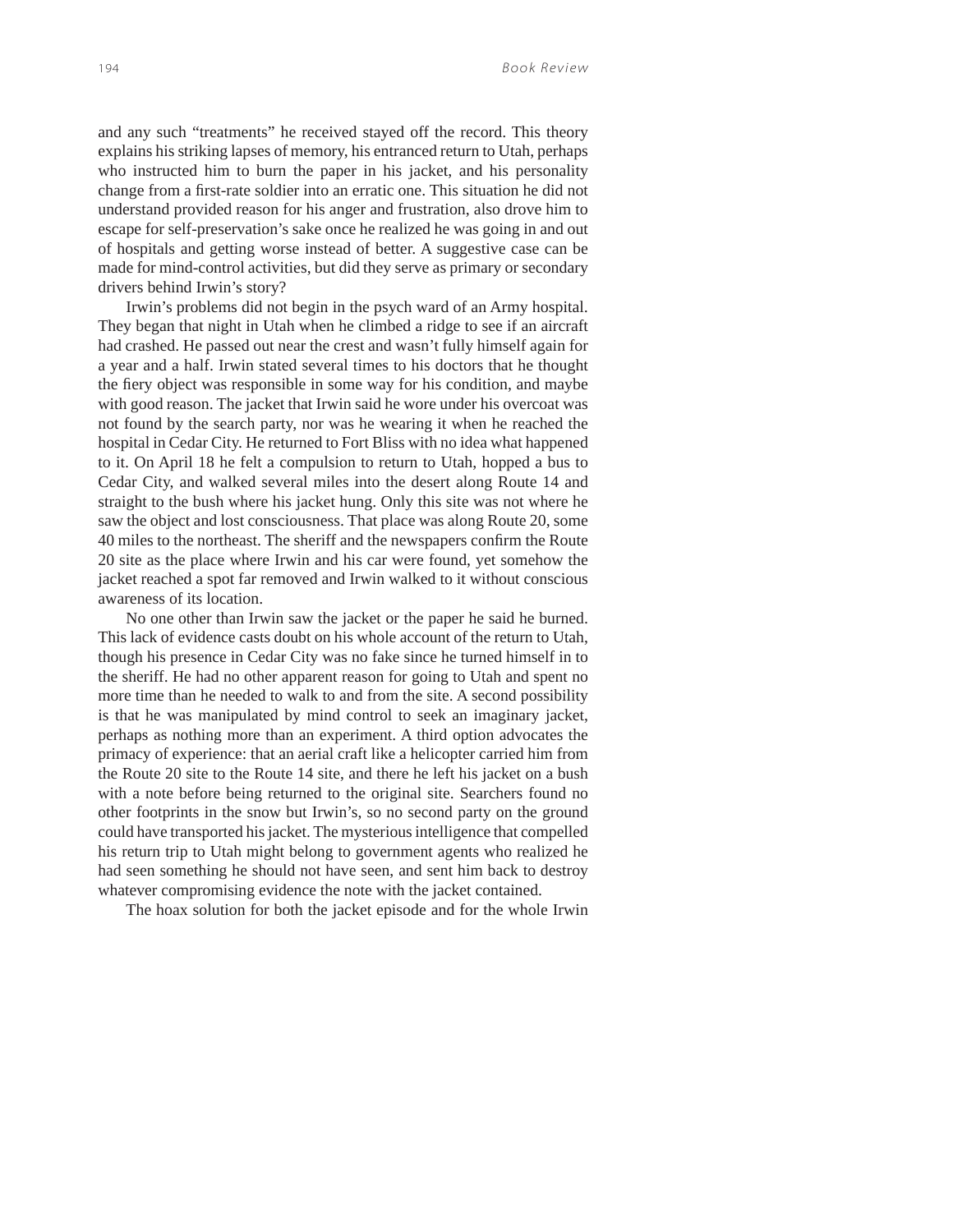and any such "treatments" he received stayed off the record. This theory explains his striking lapses of memory, his entranced return to Utah, perhaps who instructed him to burn the paper in his jacket, and his personality change from a first-rate soldier into an erratic one. This situation he did not understand provided reason for his anger and frustration, also drove him to escape for self-preservation's sake once he realized he was going in and out of hospitals and getting worse instead of better. A suggestive case can be made for mind-control activities, but did they serve as primary or secondary drivers behind Irwin's story?

Irwin's problems did not begin in the psych ward of an Army hospital. They began that night in Utah when he climbed a ridge to see if an aircraft had crashed. He passed out near the crest and wasn't fully himself again for a year and a half. Irwin stated several times to his doctors that he thought the fiery object was responsible in some way for his condition, and maybe with good reason. The jacket that Irwin said he wore under his overcoat was not found by the search party, nor was he wearing it when he reached the hospital in Cedar City. He returned to Fort Bliss with no idea what happened to it. On April 18 he felt a compulsion to return to Utah, hopped a bus to Cedar City, and walked several miles into the desert along Route 14 and straight to the bush where his jacket hung. Only this site was not where he saw the object and lost consciousness. That place was along Route 20, some 40 miles to the northeast. The sheriff and the newspapers confirm the Route 20 site as the place where Irwin and his car were found, yet somehow the jacket reached a spot far removed and Irwin walked to it without conscious awareness of its location.

No one other than Irwin saw the jacket or the paper he said he burned. This lack of evidence casts doubt on his whole account of the return to Utah, though his presence in Cedar City was no fake since he turned himself in to the sheriff. He had no other apparent reason for going to Utah and spent no more time than he needed to walk to and from the site. A second possibility is that he was manipulated by mind control to seek an imaginary jacket, perhaps as nothing more than an experiment. A third option advocates the primacy of experience: that an aerial craft like a helicopter carried him from the Route 20 site to the Route 14 site, and there he left his jacket on a bush with a note before being returned to the original site. Searchers found no other footprints in the snow but Irwin's, so no second party on the ground could have transported his jacket. The mysterious intelligence that compelled his return trip to Utah might belong to government agents who realized he had seen something he should not have seen, and sent him back to destroy whatever compromising evidence the note with the jacket contained.

The hoax solution for both the jacket episode and for the whole Irwin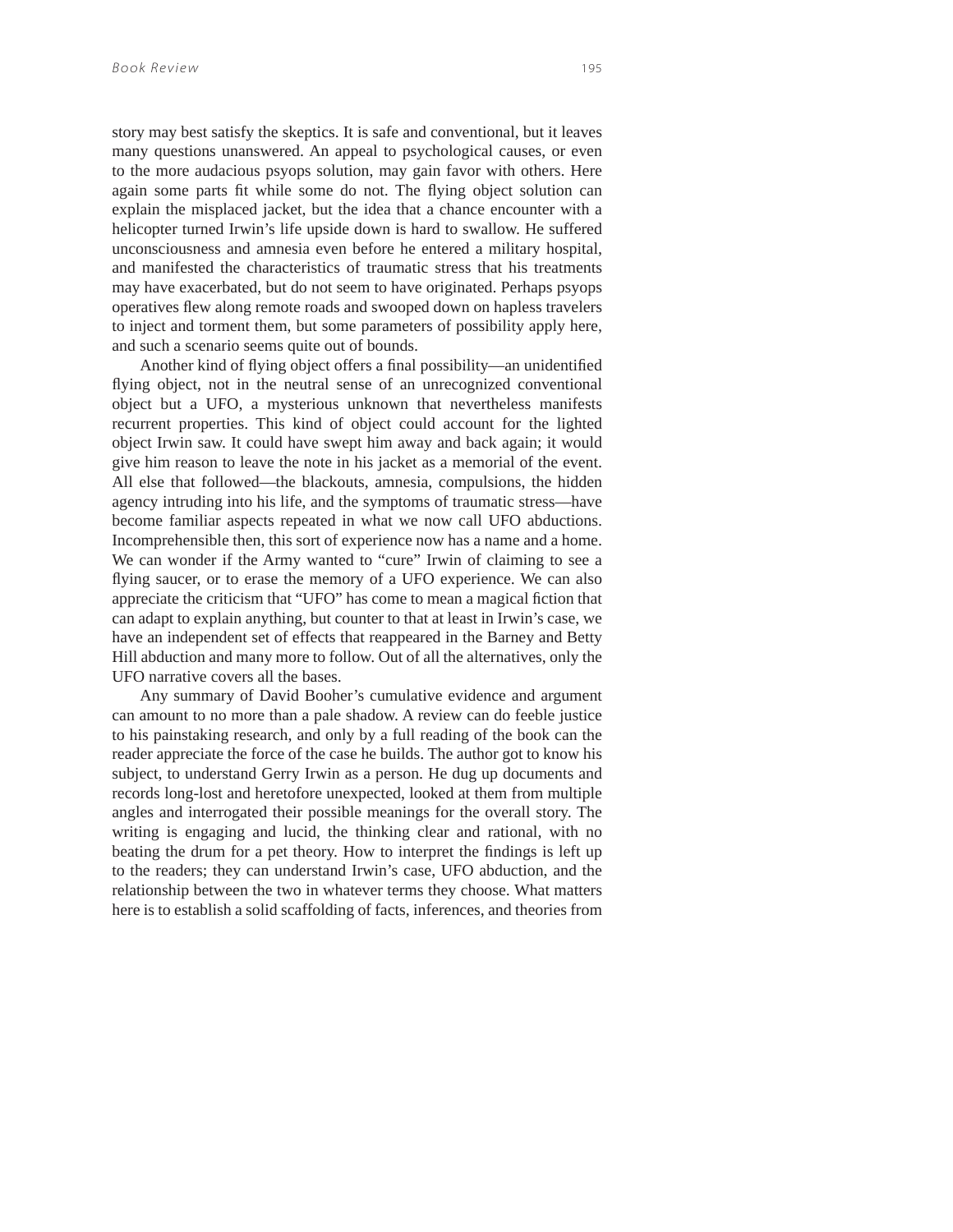story may best satisfy the skeptics. It is safe and conventional, but it leaves many questions unanswered. An appeal to psychological causes, or even to the more audacious psyops solution, may gain favor with others. Here again some parts fit while some do not. The flying object solution can explain the misplaced jacket, but the idea that a chance encounter with a helicopter turned Irwin's life upside down is hard to swallow. He suffered unconsciousness and amnesia even before he entered a military hospital, and manifested the characteristics of traumatic stress that his treatments may have exacerbated, but do not seem to have originated. Perhaps psyops operatives flew along remote roads and swooped down on hapless travelers to inject and torment them, but some parameters of possibility apply here, and such a scenario seems quite out of bounds.

Another kind of flying object offers a final possibility—an unidentified flying object, not in the neutral sense of an unrecognized conventional object but a UFO, a mysterious unknown that nevertheless manifests recurrent properties. This kind of object could account for the lighted object Irwin saw. It could have swept him away and back again; it would give him reason to leave the note in his jacket as a memorial of the event. All else that followed—the blackouts, amnesia, compulsions, the hidden agency intruding into his life, and the symptoms of traumatic stress—have become familiar aspects repeated in what we now call UFO abductions. Incomprehensible then, this sort of experience now has a name and a home. We can wonder if the Army wanted to "cure" Irwin of claiming to see a flying saucer, or to erase the memory of a UFO experience. We can also appreciate the criticism that "UFO" has come to mean a magical fiction that can adapt to explain anything, but counter to that at least in Irwin's case, we have an independent set of effects that reappeared in the Barney and Betty Hill abduction and many more to follow. Out of all the alternatives, only the UFO narrative covers all the bases.

Any summary of David Booher's cumulative evidence and argument can amount to no more than a pale shadow. A review can do feeble justice to his painstaking research, and only by a full reading of the book can the reader appreciate the force of the case he builds. The author got to know his subject, to understand Gerry Irwin as a person. He dug up documents and records long-lost and heretofore unexpected, looked at them from multiple angles and interrogated their possible meanings for the overall story. The writing is engaging and lucid, the thinking clear and rational, with no beating the drum for a pet theory. How to interpret the findings is left up to the readers; they can understand Irwin's case, UFO abduction, and the relationship between the two in whatever terms they choose. What matters here is to establish a solid scaffolding of facts, inferences, and theories from